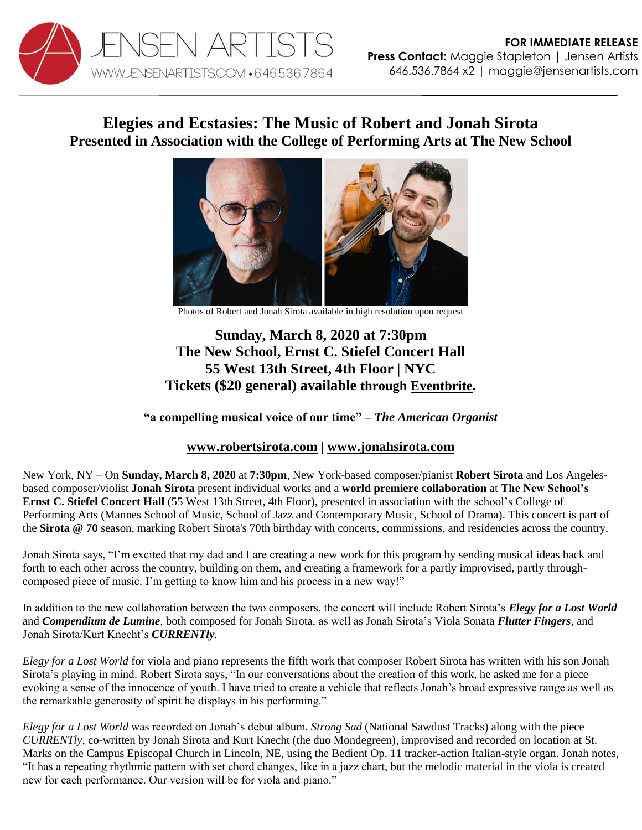

## **Elegies and Ecstasies: The Music of Robert and Jonah Sirota Presented in Association with the College of Performing Arts at The New School**



Photos of Robert and Jonah Sirota available in high resolution upon request

## **Sunday, March 8, 2020 at 7:30pm The New School, Ernst C. Stiefel Concert Hall 55 West 13th Street, 4th Floor | NYC Tickets (\$20 general) available through [Eventbrite.](https://www.eventbrite.com/e/elegies-and-ecstasies-the-music-of-robert-and-jonah-sirota-tickets-90188505247)**

## **"a compelling musical voice of our time" –** *The American Organist*

## **[www.robertsirota.com](http://www.robertsirota.com/) | [www.jonahsirota.com](http://www.jonahsirota.com/)**

New York, NY – On **Sunday, March 8, 2020** at **7:30pm**, New York-based composer/pianist **Robert Sirota** and Los Angelesbased composer/violist **Jonah Sirota** present individual works and a **world premiere collaboration** at **The New School's Ernst C. Stiefel Concert Hall** (55 West 13th Street, 4th Floor), presented in association with the school's College of Performing Arts (Mannes School of Music, School of Jazz and Contemporary Music, School of Drama). This concert is part of the **Sirota @ 70** season, marking Robert Sirota's 70th birthday with concerts, commissions, and residencies across the country.

Jonah Sirota says, "I'm excited that my dad and I are creating a new work for this program by sending musical ideas back and forth to each other across the country, building on them, and creating a framework for a partly improvised, partly throughcomposed piece of music. I'm getting to know him and his process in a new way!"

In addition to the new collaboration between the two composers, the concert will include Robert Sirota's *Elegy for a Lost World* and *Compendium de Lumine,* both composed for Jonah Sirota, as well as Jonah Sirota's Viola Sonata *Flutter Fingers*, and Jonah Sirota/Kurt Knecht's *CURRENTly.*

*Elegy for a Lost World* for viola and piano represents the fifth work that composer Robert Sirota has written with his son Jonah Sirota's playing in mind. Robert Sirota says, "In our conversations about the creation of this work, he asked me for a piece evoking a sense of the innocence of youth. I have tried to create a vehicle that reflects Jonah's broad expressive range as well as the remarkable generosity of spirit he displays in his performing."

*Elegy for a Lost World* was recorded on Jonah's debut album, *Strong Sad* (National Sawdust Tracks) along with the piece *CURRENTly*, co-written by Jonah Sirota and Kurt Knecht (the duo Mondegreen), improvised and recorded on location at St. Marks on the Campus Episcopal Church in Lincoln, NE, using the Bedient Op. 11 tracker-action Italian-style organ. Jonah notes, "It has a repeating rhythmic pattern with set chord changes, like in a jazz chart, but the melodic material in the viola is created new for each performance. Our version will be for viola and piano."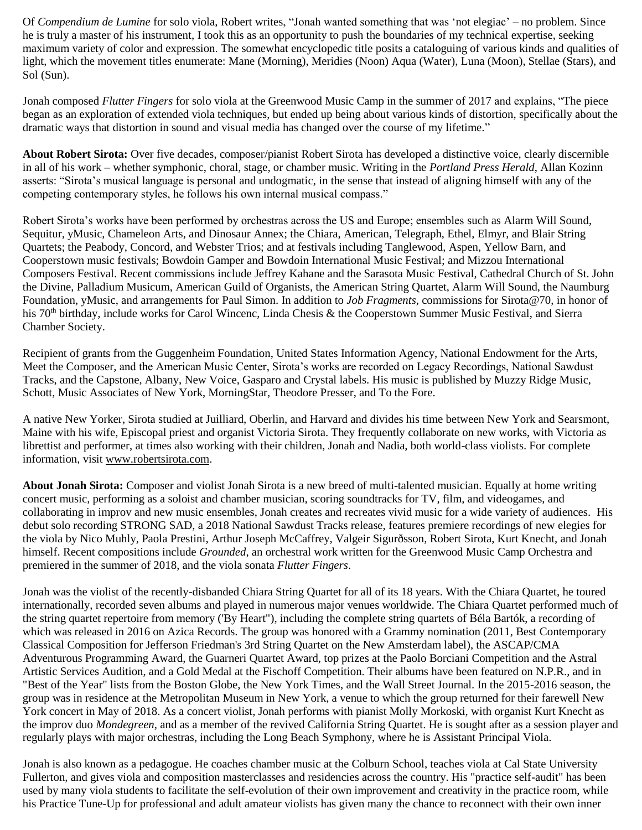Of *Compendium de Lumine* for solo viola, Robert writes, "Jonah wanted something that was 'not elegiac' – no problem. Since he is truly a master of his instrument, I took this as an opportunity to push the boundaries of my technical expertise, seeking maximum variety of color and expression. The somewhat encyclopedic title posits a cataloguing of various kinds and qualities of light, which the movement titles enumerate: Mane (Morning), Meridies (Noon) Aqua (Water), Luna (Moon), Stellae (Stars), and Sol (Sun).

Jonah composed *Flutter Fingers* for solo viola at the Greenwood Music Camp in the summer of 2017 and explains, "The piece began as an exploration of extended viola techniques, but ended up being about various kinds of distortion, specifically about the dramatic ways that distortion in sound and visual media has changed over the course of my lifetime."

**About Robert Sirota:** Over five decades, composer/pianist Robert Sirota has developed a distinctive voice, clearly discernible in all of his work – whether symphonic, choral, stage, or chamber music. Writing in the *Portland Press Herald*, Allan Kozinn asserts: "Sirota's musical language is personal and undogmatic, in the sense that instead of aligning himself with any of the competing contemporary styles, he follows his own internal musical compass."

Robert Sirota's works have been performed by orchestras across the US and Europe; ensembles such as Alarm Will Sound, Sequitur, yMusic, Chameleon Arts, and Dinosaur Annex; the Chiara, American, Telegraph, Ethel, Elmyr, and Blair String Quartets; the Peabody, Concord, and Webster Trios; and at festivals including Tanglewood, Aspen, Yellow Barn, and Cooperstown music festivals; Bowdoin Gamper and Bowdoin International Music Festival; and Mizzou International Composers Festival. Recent commissions include Jeffrey Kahane and the Sarasota Music Festival, Cathedral Church of St. John the Divine, Palladium Musicum, American Guild of Organists, the American String Quartet, Alarm Will Sound, the Naumburg Foundation, yMusic, and arrangements for Paul Simon. In addition to *Job Fragments*, commissions for Sirota@70, in honor of his 70<sup>th</sup> birthday, include works for Carol Wincenc, Linda Chesis & the Cooperstown Summer Music Festival, and Sierra Chamber Society.

Recipient of grants from the Guggenheim Foundation, United States Information Agency, National Endowment for the Arts, Meet the Composer, and the American Music Center, Sirota's works are recorded on Legacy Recordings, National Sawdust Tracks, and the Capstone, Albany, New Voice, Gasparo and Crystal labels. His music is published by Muzzy Ridge Music, Schott, Music Associates of New York, MorningStar, Theodore Presser, and To the Fore.

A native New Yorker, Sirota studied at Juilliard, Oberlin, and Harvard and divides his time between New York and Searsmont, Maine with his wife, Episcopal priest and organist Victoria Sirota. They frequently collaborate on new works, with Victoria as librettist and performer, at times also working with their children, Jonah and Nadia, both world-class violists. For complete information, visit [www.robertsirota.com.](http://www.robertsirota.com/)

**About Jonah Sirota:** Composer and violist Jonah Sirota is a new breed of multi-talented musician. Equally at home writing concert music, performing as a soloist and chamber musician, scoring soundtracks for TV, film, and videogames, and collaborating in improv and new music ensembles, Jonah creates and recreates vivid music for a wide variety of audiences. His debut solo recording STRONG SAD, a 2018 National Sawdust Tracks release, features premiere recordings of new elegies for the viola by Nico Muhly, Paola Prestini, Arthur Joseph McCaffrey, Valgeir Sigurðsson, Robert Sirota, Kurt Knecht, and Jonah himself. Recent compositions include *Grounded*, an orchestral work written for the Greenwood Music Camp Orchestra and premiered in the summer of 2018, and the viola sonata *Flutter Fingers*.

Jonah was the violist of the recently-disbanded Chiara String Quartet for all of its 18 years. With the Chiara Quartet, he toured internationally, recorded seven albums and played in numerous major venues worldwide. The Chiara Quartet performed much of the string quartet repertoire from memory ('By Heart"), including the complete string quartets of Béla Bartók, a recording of which was released in 2016 on Azica Records. The group was honored with a Grammy nomination (2011, Best Contemporary Classical Composition for Jefferson Friedman's 3rd String Quartet on the New Amsterdam label), the ASCAP/CMA Adventurous Programming Award, the Guarneri Quartet Award, top prizes at the Paolo Borciani Competition and the Astral Artistic Services Audition, and a Gold Medal at the Fischoff Competition. Their albums have been featured on N.P.R., and in "Best of the Year" lists from the Boston Globe, the New York Times, and the Wall Street Journal. In the 2015-2016 season, the group was in residence at the Metropolitan Museum in New York, a venue to which the group returned for their farewell New York concert in May of 2018. As a concert violist, Jonah performs with pianist Molly Morkoski, with organist Kurt Knecht as the improv duo *Mondegreen*, and as a member of the revived California String Quartet. He is sought after as a session player and regularly plays with major orchestras, including the Long Beach Symphony, where he is Assistant Principal Viola.

Jonah is also known as a pedagogue. He coaches chamber music at the Colburn School, teaches viola at Cal State University Fullerton, and gives viola and composition masterclasses and residencies across the country. His "practice self-audit" has been used by many viola students to facilitate the self-evolution of their own improvement and creativity in the practice room, while his Practice Tune-Up for professional and adult amateur violists has given many the chance to reconnect with their own inner